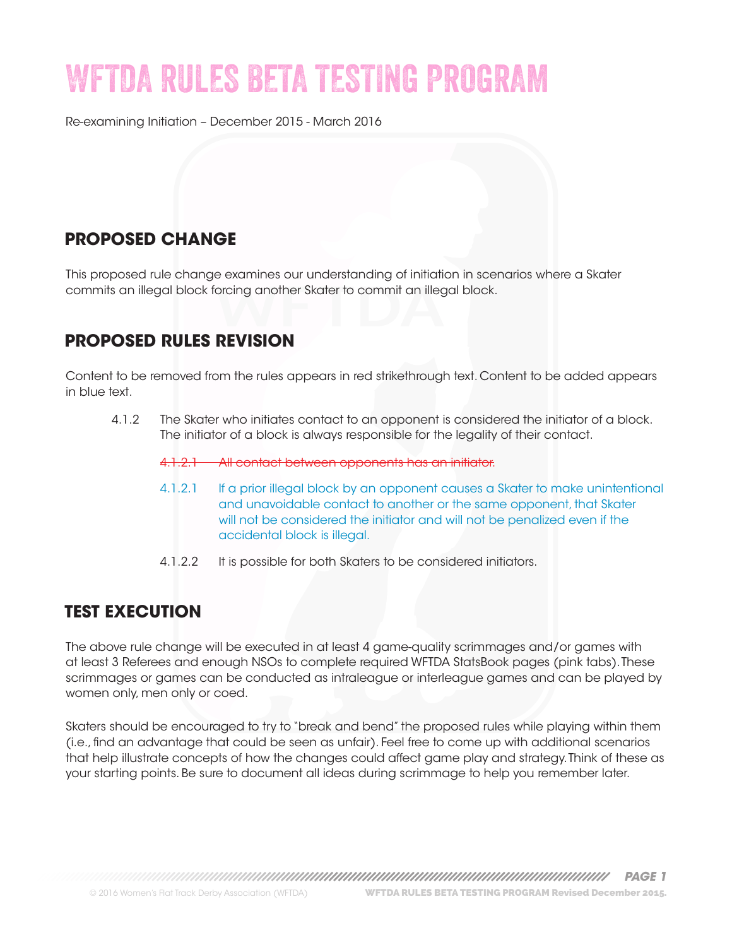# WFTDA RULES BETA TESTING PROGRAM

Re-examining Initiation – December 2015 - March 2016

# **PROPOSED CHANGE**

This proposed rule change examines our understanding of initiation in scenarios where a Skater commits an illegal block forcing another Skater to commit an illegal block.

# **PROPOSED RULES REVISION**

Content to be removed from the rules appears in red strikethrough text. Content to be added appears in blue text.

4.1.2 The Skater who initiates contact to an opponent is considered the initiator of a block. The initiator of a block is always responsible for the legality of their contact.

4.1.2.1 All contact between opponents has an initiator.

- 4.1.2.1 If a prior illegal block by an opponent causes a Skater to make unintentional and unavoidable contact to another or the same opponent, that Skater will not be considered the initiator and will not be penalized even if the accidental block is illegal.
- 4.1.2.2 It is possible for both Skaters to be considered initiators.

### **TEST EXECUTION**

The above rule change will be executed in at least 4 game-quality scrimmages and/or games with at least 3 Referees and enough NSOs to complete required WFTDA StatsBook pages (pink tabs). These scrimmages or games can be conducted as intraleague or interleague games and can be played by women only, men only or coed.

Skaters should be encouraged to try to "break and bend" the proposed rules while playing within them (i.e., find an advantage that could be seen as unfair). Feel free to come up with additional scenarios that help illustrate concepts of how the changes could affect game play and strategy. Think of these as your starting points. Be sure to document all ideas during scrimmage to help you remember later.